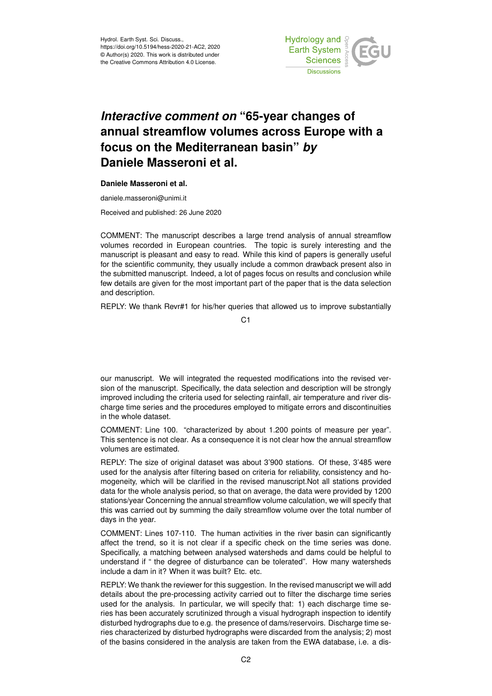

## *Interactive comment on* **"65-year changes of annual streamflow volumes across Europe with a focus on the Mediterranean basin"** *by* **Daniele Masseroni et al.**

## **Daniele Masseroni et al.**

daniele.masseroni@unimi.it

Received and published: 26 June 2020

COMMENT: The manuscript describes a large trend analysis of annual streamflow volumes recorded in European countries. The topic is surely interesting and the manuscript is pleasant and easy to read. While this kind of papers is generally useful for the scientific community, they usually include a common drawback present also in the submitted manuscript. Indeed, a lot of pages focus on results and conclusion while few details are given for the most important part of the paper that is the data selection and description.

REPLY: We thank Revr#1 for his/her queries that allowed us to improve substantially

C1

our manuscript. We will integrated the requested modifications into the revised version of the manuscript. Specifically, the data selection and description will be strongly improved including the criteria used for selecting rainfall, air temperature and river discharge time series and the procedures employed to mitigate errors and discontinuities in the whole dataset.

COMMENT: Line 100. "characterized by about 1.200 points of measure per year". This sentence is not clear. As a consequence it is not clear how the annual streamflow volumes are estimated.

REPLY: The size of original dataset was about 3'900 stations. Of these, 3'485 were used for the analysis after filtering based on criteria for reliability, consistency and homogeneity, which will be clarified in the revised manuscript.Not all stations provided data for the whole analysis period, so that on average, the data were provided by 1200 stations/year Concerning the annual streamflow volume calculation, we will specify that this was carried out by summing the daily streamflow volume over the total number of days in the year.

COMMENT: Lines 107-110. The human activities in the river basin can significantly affect the trend, so it is not clear if a specific check on the time series was done. Specifically, a matching between analysed watersheds and dams could be helpful to understand if " the degree of disturbance can be tolerated". How many watersheds include a dam in it? When it was built? Etc. etc.

REPLY: We thank the reviewer for this suggestion. In the revised manuscript we will add details about the pre-processing activity carried out to filter the discharge time series used for the analysis. In particular, we will specify that: 1) each discharge time series has been accurately scrutinized through a visual hydrograph inspection to identify disturbed hydrographs due to e.g. the presence of dams/reservoirs. Discharge time series characterized by disturbed hydrographs were discarded from the analysis; 2) most of the basins considered in the analysis are taken from the EWA database, i.e. a dis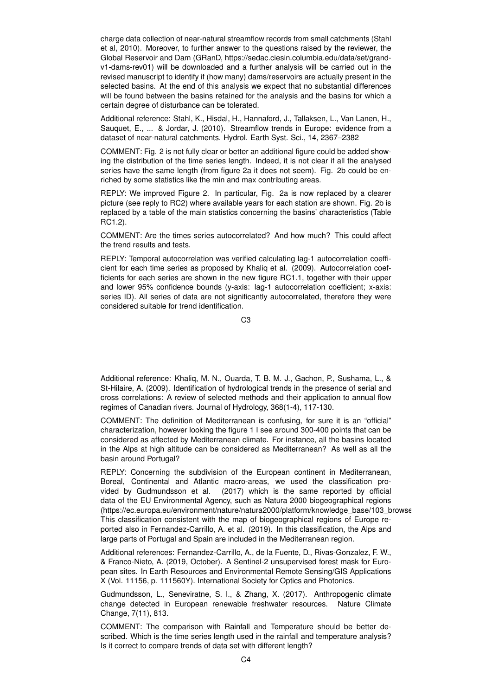charge data collection of near-natural streamflow records from small catchments (Stahl et al, 2010). Moreover, to further answer to the questions raised by the reviewer, the Global Reservoir and Dam (GRanD, https://sedac.ciesin.columbia.edu/data/set/grandv1-dams-rev01) will be downloaded and a further analysis will be carried out in the revised manuscript to identify if (how many) dams/reservoirs are actually present in the selected basins. At the end of this analysis we expect that no substantial differences will be found between the basins retained for the analysis and the basins for which a certain degree of disturbance can be tolerated.

Additional reference: Stahl, K., Hisdal, H., Hannaford, J., Tallaksen, L., Van Lanen, H., Sauquet, E., ... & Jordar, J. (2010). Streamflow trends in Europe: evidence from a dataset of near-natural catchments. Hydrol. Earth Syst. Sci., 14, 2367–2382

COMMENT: Fig. 2 is not fully clear or better an additional figure could be added showing the distribution of the time series length. Indeed, it is not clear if all the analysed series have the same length (from figure 2a it does not seem). Fig. 2b could be enriched by some statistics like the min and max contributing areas.

REPLY: We improved Figure 2. In particular, Fig. 2a is now replaced by a clearer picture (see reply to RC2) where available years for each station are shown. Fig. 2b is replaced by a table of the main statistics concerning the basins' characteristics (Table RC1.2).

COMMENT: Are the times series autocorrelated? And how much? This could affect the trend results and tests.

REPLY: Temporal autocorrelation was verified calculating lag-1 autocorrelation coefficient for each time series as proposed by Khaliq et al. (2009). Autocorrelation coefficients for each series are shown in the new figure RC1.1, together with their upper and lower 95% confidence bounds (y-axis: lag-1 autocorrelation coefficient; x-axis: series ID). All series of data are not significantly autocorrelated, therefore they were considered suitable for trend identification.

C3

Additional reference: Khaliq, M. N., Ouarda, T. B. M. J., Gachon, P., Sushama, L., & St-Hilaire, A. (2009). Identification of hydrological trends in the presence of serial and cross correlations: A review of selected methods and their application to annual flow regimes of Canadian rivers. Journal of Hydrology, 368(1-4), 117-130.

COMMENT: The definition of Mediterranean is confusing, for sure it is an "official" characterization, however looking the figure 1 I see around 300-400 points that can be considered as affected by Mediterranean climate. For instance, all the basins located in the Alps at high altitude can be considered as Mediterranean? As well as all the basin around Portugal?

REPLY: Concerning the subdivision of the European continent in Mediterranean, Boreal, Continental and Atlantic macro-areas, we used the classification provided by Gudmundsson et al. (2017) which is the same reported by official data of the EU Environmental Agency, such as Natura 2000 biogeographical regions (https://ec.europa.eu/environment/nature/natura2000/platform/knowledge\_base/103\_browse This classification consistent with the map of biogeographical regions of Europe reported also in Fernandez-Carrillo, A. et al. (2019). In this classification, the Alps and large parts of Portugal and Spain are included in the Mediterranean region.

Additional references: Fernandez-Carrillo, A., de la Fuente, D., Rivas-Gonzalez, F. W., & Franco-Nieto, A. (2019, October). A Sentinel-2 unsupervised forest mask for European sites. In Earth Resources and Environmental Remote Sensing/GIS Applications X (Vol. 11156, p. 111560Y). International Society for Optics and Photonics.

Gudmundsson, L., Seneviratne, S. I., & Zhang, X. (2017). Anthropogenic climate change detected in European renewable freshwater resources. Nature Climate Change, 7(11), 813.

COMMENT: The comparison with Rainfall and Temperature should be better described. Which is the time series length used in the rainfall and temperature analysis? Is it correct to compare trends of data set with different length?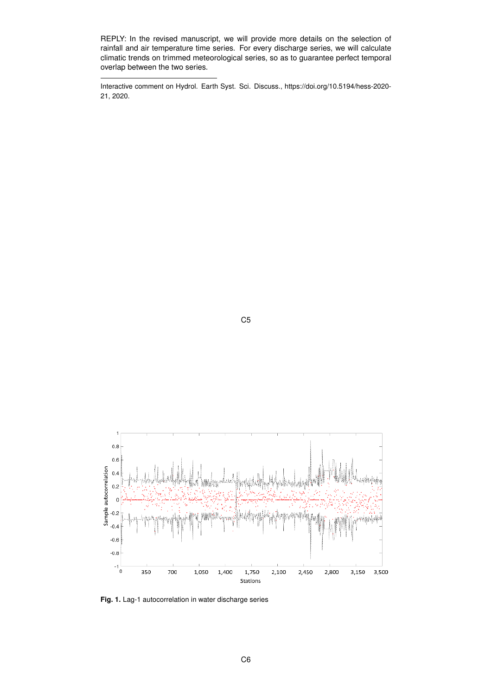REPLY: In the revised manuscript, we will provide more details on the selection of rainfall and air temperature time series. For every discharge series, we will calculate climatic trends on trimmed meteorological series, so as to guarantee perfect temporal overlap between the two series.

Interactive comment on Hydrol. Earth Syst. Sci. Discuss., https://doi.org/10.5194/hess-2020- 21, 2020.

C5



**Fig. 1.** Lag-1 autocorrelation in water discharge series